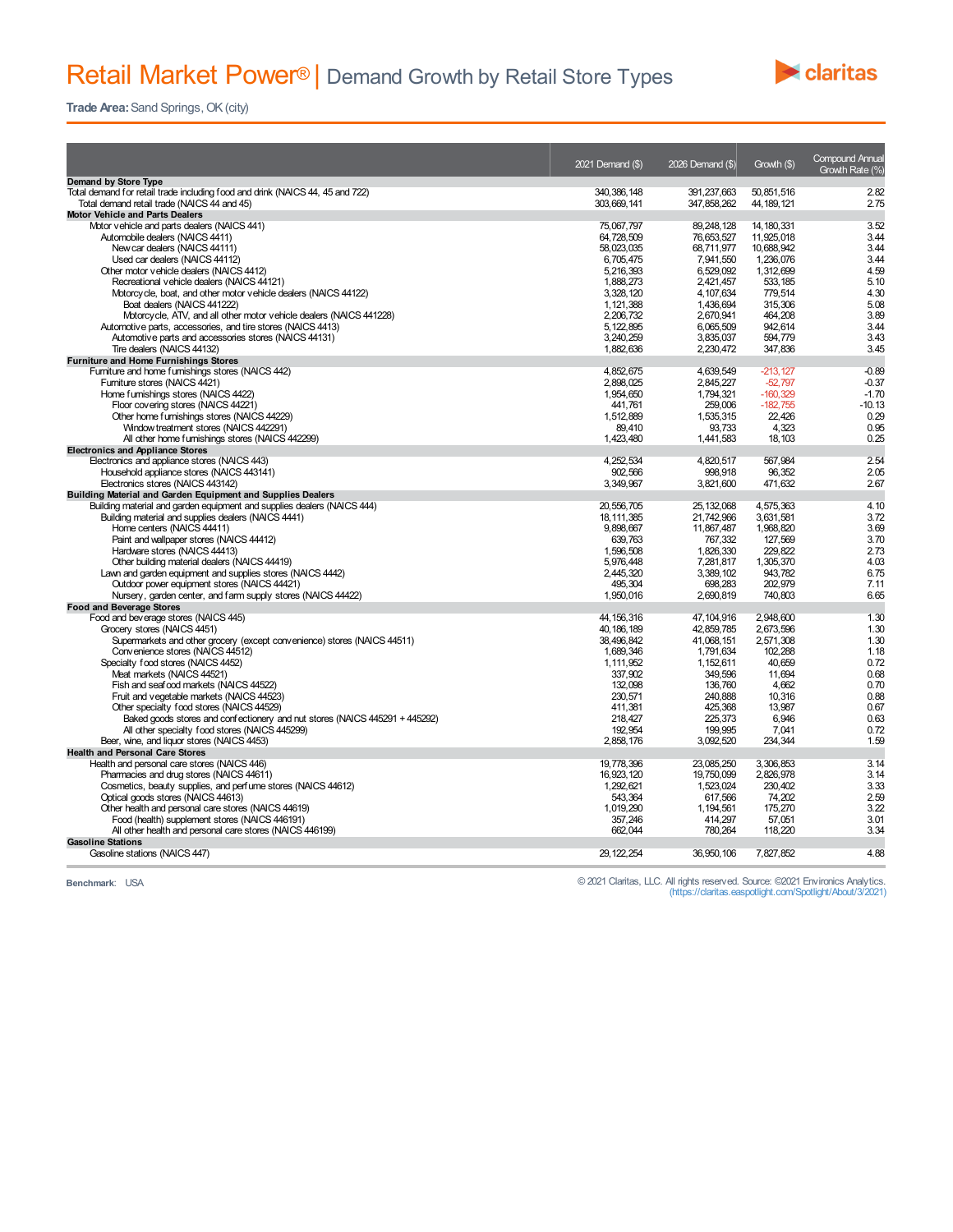

**Trade Area:** Sand Springs, OK (city)

|                                                                                                                                |                            |                            |                         | <b>Compound Annual</b> |
|--------------------------------------------------------------------------------------------------------------------------------|----------------------------|----------------------------|-------------------------|------------------------|
|                                                                                                                                | 2021 Demand (\$)           | 2026 Demand (\$)           | Growth (\$)             | Growth Rate (%)        |
| <b>Demand by Store Type</b><br>Total demand for retail trade including food and drink (NAICS 44, 45 and 722)                   | 340.386.148                | 391,237,663                | 50.851.516              | 2.82                   |
| Total demand retail trade (NAICS 44 and 45)                                                                                    | 303,669,141                | 347,858,262                | 44, 189, 121            | 2.75                   |
| Motor Vehicle and Parts Dealers                                                                                                |                            |                            |                         |                        |
| Motor vehicle and parts dealers (NAICS 441)                                                                                    | 75,067,797                 | 89.248.128                 | 14.180.331              | 3.52                   |
| Automobile dealers (NAICS 4411)                                                                                                | 64,728,509                 | 76,653,527                 | 11,925,018              | 3.44                   |
| New car dealers (NAICS 44111)                                                                                                  | 58.023.035                 | 68,711,977                 | 10.688.942              | 3.44<br>3.44           |
| Used car dealers (NAICS 44112)<br>Other motor vehicle dealers (NAICS 4412)                                                     | 6,705,475<br>5,216,393     | 7,941,550<br>6,529,092     | 1,236,076<br>1,312,699  | 4.59                   |
| Recreational vehicle dealers (NAICS 44121)                                                                                     | 1.888.273                  | 2.421.457                  | 533.185                 | 5.10                   |
| Motorcycle, boat, and other motor vehicle dealers (NAICS 44122)                                                                | 3,328,120                  | 4,107,634                  | 779.514                 | 4.30                   |
| Boat dealers (NAICS 441222)                                                                                                    | 1,121,388                  | 1.436.694                  | 315,306                 | 5.08                   |
| Motorcycle, ATV, and all other motor vehicle dealers (NAICS 441228)                                                            | 2,206,732                  | 2,670,941                  | 464,208                 | 3.89                   |
| Automotive parts, accessories, and tire stores (NAICS 4413)                                                                    | 5, 122, 895                | 6,065,509                  | 942.614                 | 3.44                   |
| Automotive parts and accessories stores (NAICS 44131)                                                                          | 3,240,259                  | 3,835,037                  | 594.779                 | 3.43                   |
| Tire dealers (NAICS 44132)                                                                                                     | 1,882,636                  | 2,230,472                  | 347,836                 | 3.45                   |
| <b>Furniture and Home Furnishings Stores</b>                                                                                   |                            |                            |                         |                        |
| Furniture and home furnishings stores (NAICS 442)                                                                              | 4,852,675                  | 4.639.549                  | $-213, 127$             | $-0.89$                |
| Furniture stores (NAICS 4421)<br>Home furnishings stores (NAICS 4422)                                                          | 2,898,025<br>1.954.650     | 2,845,227<br>1.794.321     | $-52,797$<br>$-160.329$ | $-0.37$<br>$-1.70$     |
| Floor covering stores (NAICS 44221)                                                                                            | 441,761                    | 259,006                    | $-182,755$              | $-10.13$               |
| Other home furnishings stores (NAICS 44229)                                                                                    | 1.512.889                  | 1.535.315                  | 22,426                  | 0.29                   |
| Window treatment stores (NAICS 442291)                                                                                         | 89,410                     | 93,733                     | 4,323                   | 0.95                   |
| All other home furnishings stores (NAICS 442299)                                                                               | 1,423,480                  | 1,441,583                  | 18,103                  | 0.25                   |
| <b>Electronics and Appliance Stores</b>                                                                                        |                            |                            |                         |                        |
| Electronics and appliance stores (NAICS 443)                                                                                   | 4,252,534                  | 4,820,517                  | 567,984                 | 2.54                   |
| Household appliance stores (NAICS 443141)                                                                                      | 902.566                    | 998.918                    | 96.352                  | 2.05                   |
| Electronics stores (NAICS 443142)                                                                                              | 3,349,967                  | 3,821,600                  | 471.632                 | 2.67                   |
| Building Material and Garden Equipment and Supplies Dealers                                                                    |                            |                            |                         | 4.10                   |
| Building material and garden equipment and supplies dealers (NAICS 444)<br>Building material and supplies dealers (NAICS 4441) | 20.556.705<br>18, 111, 385 | 25, 132, 068<br>21,742,966 | 4.575.363<br>3,631,581  | 3.72                   |
| Home centers (NAICS 44411)                                                                                                     | 9,898,667                  | 11,867,487                 | 1,968,820               | 3.69                   |
| Paint and wallpaper stores (NAICS 44412)                                                                                       | 639.763                    | 767.332                    | 127.569                 | 3.70                   |
| Hardware stores (NAICS 44413)                                                                                                  | 1.596.508                  | 1.826.330                  | 229.822                 | 2.73                   |
| Other building material dealers (NAICS 44419)                                                                                  | 5.976.448                  | 7.281.817                  | 1.305.370               | 4.03                   |
| Lawn and garden equipment and supplies stores (NAICS 4442)                                                                     | 2,445,320                  | 3,389,102                  | 943,782                 | 6.75                   |
| Outdoor power equipment stores (NAICS 44421)                                                                                   | 495,304                    | 698,283                    | 202.979                 | 7.11                   |
| Nursery, garden center, and farm supply stores (NAICS 44422)                                                                   | 1,950,016                  | 2,690,819                  | 740,803                 | 6.65                   |
| <b>Food and Beverage Stores</b><br>Food and beverage stores (NAICS 445)                                                        | 44.156.316                 | 47.104.916                 | 2.948.600               | 1.30                   |
| Grocery stores (NAICS 4451)                                                                                                    | 40, 186, 189               | 42,859,785                 | 2,673,596               | 1.30                   |
| Supermarkets and other grocery (except convenience) stores (NAICS 44511)                                                       | 38.496.842                 | 41.068.151                 | 2,571,308               | 1.30                   |
| Convenience stores (NAICS 44512)                                                                                               | 1,689,346                  | 1,791,634                  | 102,288                 | 1.18                   |
| Specialty food stores (NAICS 4452)                                                                                             | 1,111,952                  | 1,152,611                  | 40,659                  | 0.72                   |
| Meat markets (NAICS 44521)                                                                                                     | 337.902                    | 349.596                    | 11.694                  | 0.68                   |
| Fish and seafood markets (NAICS 44522)                                                                                         | 132.098                    | 136,760                    | 4,662                   | 0.70                   |
| Fruit and vegetable markets (NAICS 44523)                                                                                      | 230.571                    | 240.888                    | 10.316                  | 0.88                   |
| Other specialty food stores (NAICS 44529)                                                                                      | 411,381                    | 425,368                    | 13,987                  | 0.67                   |
| Baked goods stores and confectionery and nut stores (NAICS 445291 + 445292)                                                    | 218,427                    | 225,373                    | 6,946                   | 0.63                   |
| All other specialty food stores (NAICS 445299)<br>Beer, wine, and liquor stores (NAICS 4453)                                   | 192,954<br>2,858,176       | 199,995<br>3,092,520       | 7,041<br>234,344        | 0.72<br>1.59           |
| <b>Health and Personal Care Stores</b>                                                                                         |                            |                            |                         |                        |
| Health and personal care stores (NAICS 446)                                                                                    | 19,778,396                 | 23,085,250                 | 3,306,853               | 3.14                   |
| Pharmacies and drug stores (NAICS 44611)                                                                                       | 16,923,120                 | 19,750,099                 | 2,826,978               | 3.14                   |
| Cosmetics, beauty supplies, and perfume stores (NAICS 44612)                                                                   | 1,292,621                  | 1,523,024                  | 230,402                 | 3.33                   |
| Optical goods stores (NAICS 44613)                                                                                             | 543.364                    | 617.566                    | 74.202                  | 2.59                   |
| Other health and personal care stores (NAICS 44619)                                                                            | 1,019,290                  | 1.194.561                  | 175,270                 | 3.22                   |
| Food (health) supplement stores (NAICS 446191)                                                                                 | 357,246                    | 414,297                    | 57,051                  | 3.01                   |
| All other health and personal care stores (NAICS 446199)                                                                       | 662.044                    | 780.264                    | 118,220                 | 3.34                   |
| <b>Gasoline Stations</b><br>Gasoline stations (NAICS 447)                                                                      | 29, 122, 254               | 36,950,106                 | 7,827,852               | 4.88                   |
|                                                                                                                                |                            |                            |                         |                        |

**Benchmark**: USA © 2021 Claritas, LLC. All rights reserved. Source: ©2021 Environics Analytics. (https://claritas.easpotlight.com/Spotlight/About/3/2021)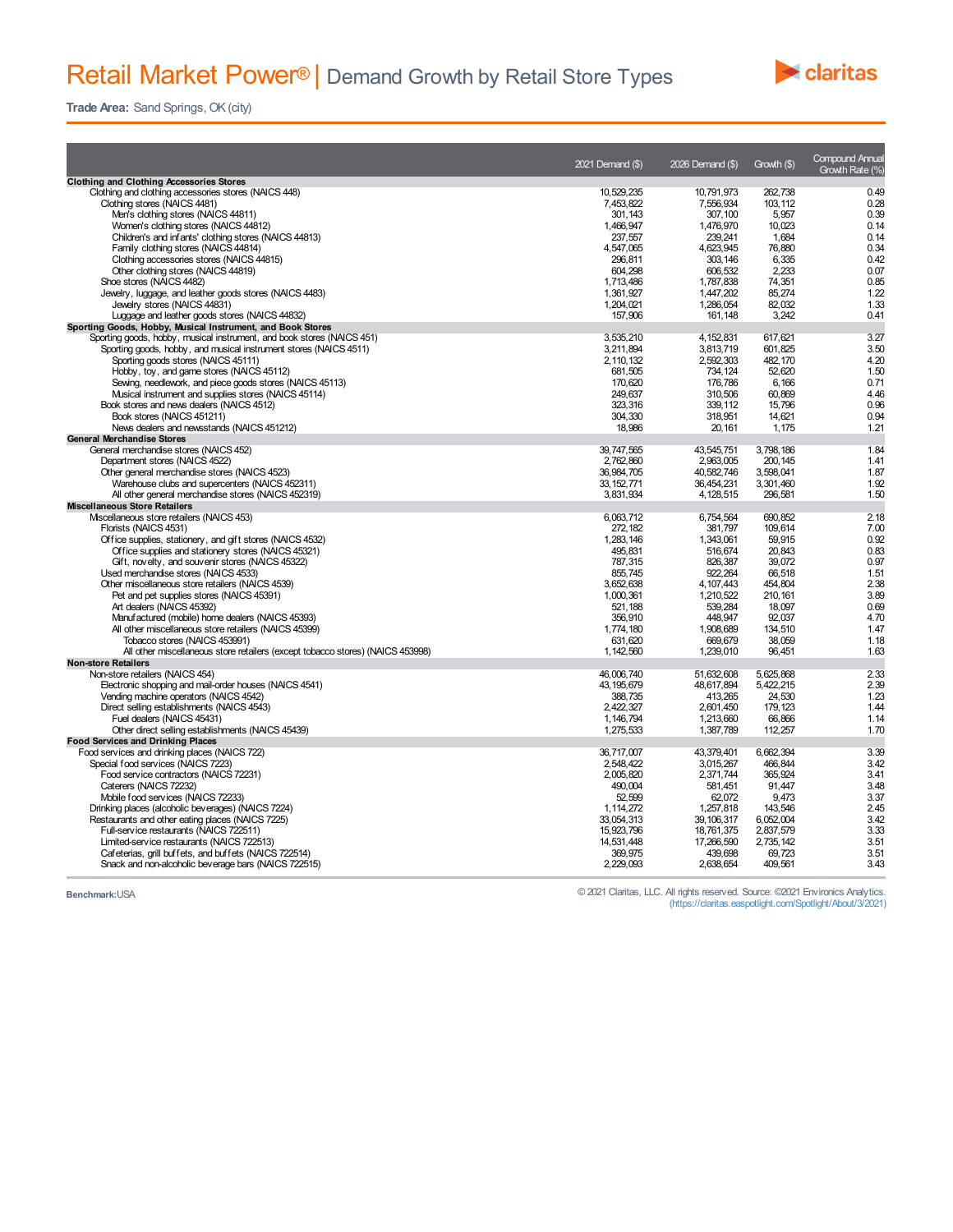## Retail Market Power® | Demand Growth by Retail Store Types



**Trade Area:** Sand Springs, OK (city)

|                                                                                                                  | 2021 Demand (\$)   | 2026 Demand (\$) | Growth (\$) | <b>Compound Annual</b><br>Growth Rate (%) |
|------------------------------------------------------------------------------------------------------------------|--------------------|------------------|-------------|-------------------------------------------|
| <b>Clothing and Clothing Accessories Stores</b>                                                                  |                    |                  |             |                                           |
| Clothing and clothing accessories stores (NAICS 448)                                                             | 10.529.235         | 10.791.973       | 262.738     | 0.49                                      |
| Clothing stores (NAICS 4481)                                                                                     | 7,453,822          | 7,556,934        | 103,112     | 0.28                                      |
| Men's clothing stores (NAICS 44811)                                                                              | 301.143            | 307.100          | 5.957       | 0.39                                      |
| Women's clothing stores (NAICS 44812)                                                                            | 1,466,947          | 1,476,970        | 10,023      | 0.14                                      |
| Children's and infants' clothing stores (NAICS 44813)                                                            | 237.557            | 239.241          | 1,684       | 0.14                                      |
| Family clothing stores (NAICS 44814)                                                                             | 4,547,065          | 4,623,945        | 76,880      | 0.34                                      |
| Clothing accessories stores (NAICS 44815)                                                                        | 296.811            | 303.146          | 6,335       | 0.42                                      |
| Other clothing stores (NAICS 44819)                                                                              | 604,298            | 606,532          | 2,233       | 0.07                                      |
| Shoe stores (NAICS 4482)                                                                                         | 1,713,486          | 1,787,838        | 74,351      | 0.85                                      |
| Jewelry, luggage, and leather goods stores (NAICS 4483)                                                          | 1.361.927          | 1.447.202        | 85.274      | 1.22                                      |
| Jewelry stores (NAICS 44831)                                                                                     | 1,204,021          | 1,286,054        | 82,032      | 1.33                                      |
| Luggage and leather goods stores (NAICS 44832)                                                                   | 157,906            | 161, 148         | 3.242       | 0.41                                      |
| Sporting Goods, Hobby, Musical Instrument, and Book Stores                                                       |                    |                  |             |                                           |
| Sporting goods, hobby, musical instrument, and book stores (NAICS 451)                                           | 3.535.210          | 4, 152, 831      | 617,621     | 3.27                                      |
| Sporting goods, hobby, and musical instrument stores (NAICS 4511)                                                | 3,211,894          | 3,813,719        | 601,825     | 3.50                                      |
| Sporting goods stores (NAICS 45111)                                                                              | 2, 110, 132        | 2,592,303        | 482.170     | 4.20                                      |
| Hobby, toy, and game stores (NAICS 45112)                                                                        | 681,505            | 734, 124         | 52,620      | 1.50                                      |
| Sewing, needlework, and piece goods stores (NAICS 45113)                                                         | 170,620            | 176,786          | 6,166       | 0.71                                      |
| Musical instrument and supplies stores (NAICS 45114)                                                             | 249.637            | 310,506          | 60.869      | 4.46                                      |
| Book stores and news dealers (NAICS 4512)                                                                        | 323,316            | 339, 112         | 15,796      | 0.96                                      |
| Book stores (NAICS 451211)                                                                                       | 304,330            | 318,951          | 14,621      | 0.94                                      |
| News dealers and newsstands (NAICS 451212)                                                                       | 18,986             | 20, 161          | 1,175       | 1.21                                      |
| <b>General Merchandise Stores</b>                                                                                |                    |                  |             |                                           |
| General merchandise stores (NAICS 452)                                                                           | 39,747,565         | 43,545,751       | 3,798,186   | 1.84                                      |
| Department stores (NAICS 4522)                                                                                   | 2,762,860          | 2,963,005        | 200, 145    | 1.41                                      |
| Other general merchandise stores (NAICS 4523)                                                                    | 36,984,705         | 40,582,746       | 3,598,041   | 1.87                                      |
| Warehouse clubs and supercenters (NAICS 452311)                                                                  | 33, 152, 771       | 36,454,231       | 3,301,460   | 1.92                                      |
| All other general merchandise stores (NAICS 452319)                                                              | 3,831,934          | 4,128,515        | 296,581     | 1.50                                      |
| <b>Miscellaneous Store Retailers</b>                                                                             |                    |                  |             |                                           |
| Mscellaneous store retailers (NAICS 453)                                                                         | 6,063,712          | 6,754,564        | 690,852     | 2.18                                      |
| Florists (NAICS 4531)                                                                                            | 272.182            | 381.797          | 109.614     | 7.00                                      |
|                                                                                                                  | 1,283,146          | 1.343.061        | 59.915      | 0.92                                      |
| Office supplies, stationery, and gift stores (NAICS 4532)<br>Office supplies and stationery stores (NAICS 45321) | 495,831            | 516.674          | 20,843      | 0.83                                      |
|                                                                                                                  |                    | 826,387          | 39.072      | 0.97                                      |
| Gift, novelty, and souvenir stores (NAICS 45322)<br>Used merchandise stores (NAICS 4533)                         | 787,315<br>855.745 | 922.264          | 66.518      | 1.51                                      |
| Other miscellaneous store retailers (NAICS 4539)                                                                 |                    |                  | 454.804     | 2.38                                      |
|                                                                                                                  | 3,652,638          | 4, 107, 443      |             | 3.89                                      |
| Pet and pet supplies stores (NAICS 45391)<br>Art dealers (NAICS 45392)                                           | 1.000.361          | 1.210.522        | 210.161     | 0.69                                      |
|                                                                                                                  | 521,188            | 539,284          | 18,097      |                                           |
| Manufactured (mobile) home dealers (NAICS 45393)                                                                 | 356.910            | 448.947          | 92.037      | 4.70                                      |
| All other miscellaneous store retailers (NAICS 45399)                                                            | 1,774,180          | 1.908.689        | 134.510     | 1.47                                      |
| Tobacco stores (NAICS 453991)                                                                                    | 631.620            | 669,679          | 38.059      | 1.18                                      |
| All other miscellaneous store retailers (except tobacco stores) (NAICS 453998)                                   | 1, 142, 560        | 1,239,010        | 96,451      | 1.63                                      |
| <b>Non-store Retailers</b>                                                                                       |                    |                  |             |                                           |
| Non-store retailers (NAICS 454)                                                                                  | 46.006.740         | 51.632.608       | 5.625.868   | 2.33                                      |
| Electronic shopping and mail-order houses (NAICS 4541)                                                           | 43, 195, 679       | 48,617,894       | 5,422,215   | 2.39                                      |
| Vending machine operators (NAICS 4542)                                                                           | 388.735            | 413.265          | 24.530      | 1.23                                      |
| Direct selling establishments (NAICS 4543)                                                                       | 2,422,327          | 2,601,450        | 179, 123    | 1.44                                      |
| Fuel dealers (NAICS 45431)                                                                                       | 1, 146, 794        | 1,213,660        | 66.866      | 1.14                                      |
| Other direct selling establishments (NAICS 45439)                                                                | 1,275,533          | 1,387,789        | 112,257     | 1.70                                      |
| <b>Food Services and Drinking Places</b>                                                                         |                    |                  |             |                                           |
| Food services and drinking places (NAICS 722)                                                                    | 36,717,007         | 43,379,401       | 6,662,394   | 3.39                                      |
| Special food services (NAICS 7223)                                                                               | 2.548.422          | 3,015,267        | 466.844     | 3.42                                      |
| Food service contractors (NAICS 72231)                                                                           | 2,005,820          | 2,371,744        | 365,924     | 3.41                                      |
| Caterers (NAICS 72232)                                                                                           | 490,004            | 581,451          | 91,447      | 3.48                                      |
| Mobile food services (NAICS 72233)                                                                               | 52,599             | 62,072           | 9,473       | 3.37                                      |
| Drinking places (alcoholic beverages) (NAICS 7224)                                                               | 1,114,272          | 1,257,818        | 143,546     | 2.45                                      |
| Restaurants and other eating places (NAICS 7225)                                                                 | 33,054,313         | 39, 106, 317     | 6.052.004   | 3.42                                      |
| Full-service restaurants (NAICS 722511)                                                                          | 15,923,796         | 18,761,375       | 2,837,579   | 3.33                                      |
| Limited-service restaurants (NAICS 722513)                                                                       | 14,531,448         | 17,266,590       | 2,735,142   | 3.51                                      |
| Cafeterias, grill buffets, and buffets (NAICS 722514)                                                            | 369,975            | 439,698          | 69,723      | 3.51                                      |
| Snack and non-alcoholic beverage bars (NAICS 722515)                                                             | 2,229,093          | 2,638,654        | 409,561     | 3.43                                      |
|                                                                                                                  |                    |                  |             |                                           |

**Benchmark:**USA © 2021 Claritas, LLC. All rights reserved. Source: ©2021 Environics Analytics. (https://claritas.easpotlight.com/Spotlight/About/3/2021)